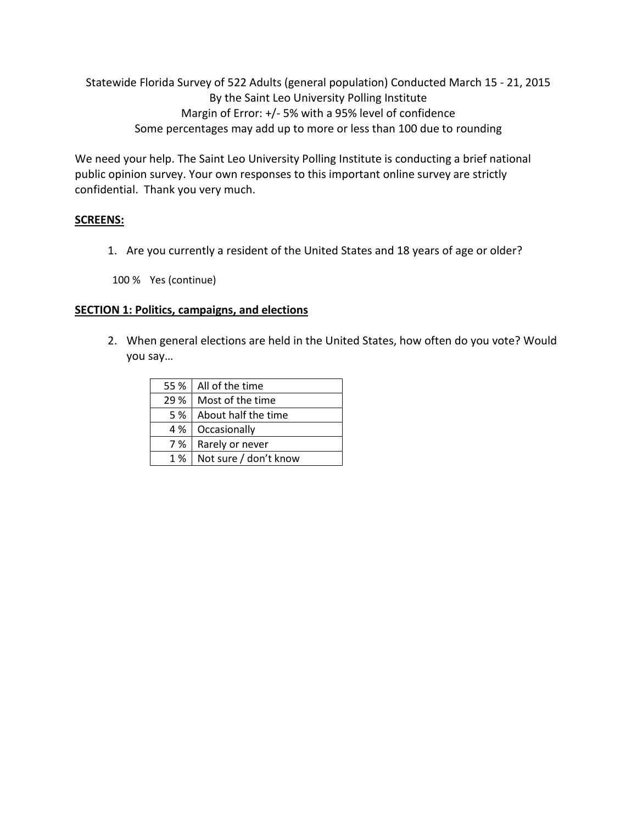Statewide Florida Survey of 522 Adults (general population) Conducted March 15 - 21, 2015 By the Saint Leo University Polling Institute Margin of Error: +/- 5% with a 95% level of confidence Some percentages may add up to more or less than 100 due to rounding

We need your help. The Saint Leo University Polling Institute is conducting a brief national public opinion survey. Your own responses to this important online survey are strictly confidential. Thank you very much.

# **SCREENS:**

1. Are you currently a resident of the United States and 18 years of age or older?

100 % Yes (continue)

### **SECTION 1: Politics, campaigns, and elections**

2. When general elections are held in the United States, how often do you vote? Would you say…

| 55 % | All of the time       |
|------|-----------------------|
| 29 % | Most of the time      |
| 5 %  | About half the time   |
| 4 %  | Occasionally          |
| 7 %  | Rarely or never       |
| 1 %  | Not sure / don't know |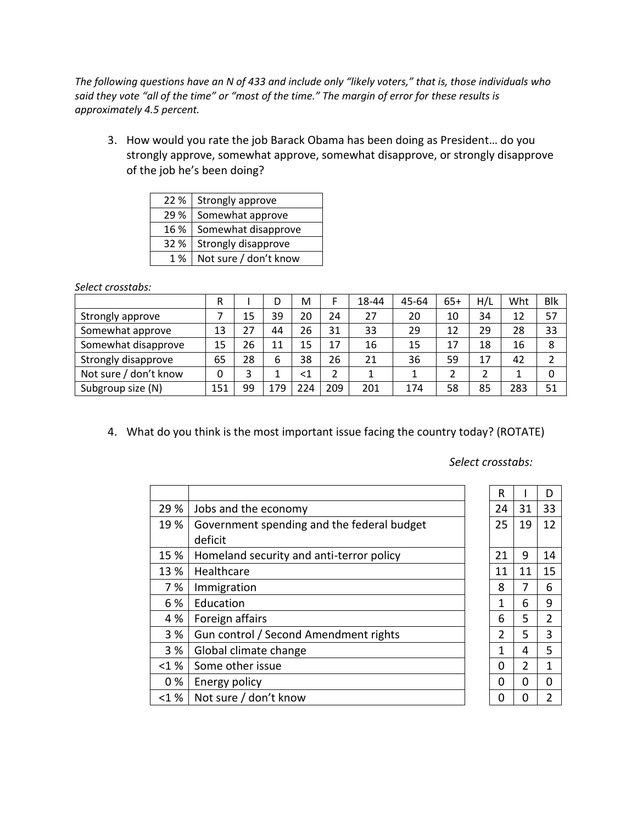*The following questions have an N of 433 and include only "likely voters," that is, those individuals who said they vote "all of the time" or "most of the time." The margin of error for these results is approximately 4.5 percent.*

3. How would you rate the job Barack Obama has been doing as President… do you strongly approve, somewhat approve, somewhat disapprove, or strongly disapprove of the job he's been doing?

| 22%  | Strongly approve      |
|------|-----------------------|
| 29 % | Somewhat approve      |
| 16 % | Somewhat disapprove   |
| 32%  | Strongly disapprove   |
| 1 %  | Not sure / don't know |

*Select crosstabs:*

|                       | R   |    |     | M   |     | 18-44 | 45-64 | $65+$ | H/L | Wht | <b>Blk</b> |
|-----------------------|-----|----|-----|-----|-----|-------|-------|-------|-----|-----|------------|
| Strongly approve      |     | 15 | 39  | 20  | 24  | 27    | 20    | 10    | 34  | 12  | 57         |
| Somewhat approve      | 13  | 27 | 44  | 26  | 31  | 33    | 29    | 12    | 29  | 28  | 33         |
| Somewhat disapprove   | 15  | 26 | 11  | 15  | 17  | 16    | 15    | 17    | 18  | 16  | 8          |
| Strongly disapprove   | 65  | 28 | 6   | 38  | 26  | 21    | 36    | 59    | 17  | 42  | າ          |
| Not sure / don't know | 0   | 3  |     | <1  | າ   |       |       | າ     | າ   |     | 0          |
| Subgroup size (N)     | 151 | 99 | 179 | 224 | 209 | 201   | 174   | 58    | 85  | 283 | 51         |

4. What do you think is the most important issue facing the country today? (ROTATE)

|  |  | Select crosstabs: |  |
|--|--|-------------------|--|
|--|--|-------------------|--|

|          |                                            | R  |    | D              |
|----------|--------------------------------------------|----|----|----------------|
| 29 %     | Jobs and the economy                       | 24 | 31 | 33             |
| 19 %     | Government spending and the federal budget | 25 | 19 | 12             |
|          | deficit                                    |    |    |                |
| 15 %     | Homeland security and anti-terror policy   | 21 | 9  | 14             |
| 13 %     | Healthcare                                 | 11 | 11 | 15             |
| 7 %      | Immigration                                | 8  | 7  | 6              |
| 6 %      | Education                                  | 1  | 6  | 9              |
| 4 %      | Foreign affairs                            | 6  | 5  | $\overline{2}$ |
| 3%       | Gun control / Second Amendment rights      | 2  | 5  | 3              |
| 3 %      | Global climate change                      | 1  | 4  | 5              |
| $< 1 \%$ | Some other issue                           | 0  | 2  | 1              |
| 0%       | Energy policy                              | 0  | O  | 0              |
| < 1%     | Not sure / don't know                      | 0  |    | 2              |

| R              |                | D              |
|----------------|----------------|----------------|
| 24             | 31             | 33             |
| 25             | 19             | 12             |
| 21             | 9              | 14             |
| 11             | 11             | 15             |
| 8              | 7              | 6              |
| $\overline{1}$ | 6              | 9              |
| 6              | 5              | $\overline{2}$ |
| $\overline{2}$ | 5              | 3              |
| $\overline{1}$ | 4              | 5              |
| 0              | $\overline{2}$ | $\mathbf{1}$   |
| 0              | 0              | O              |
| Ō              | 0              | $\overline{2}$ |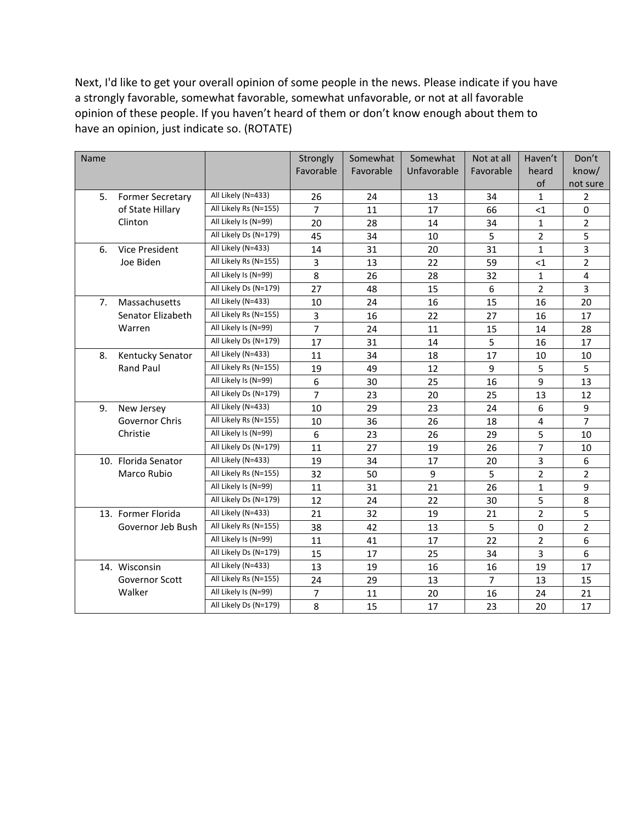Next, I'd like to get your overall opinion of some people in the news. Please indicate if you have a strongly favorable, somewhat favorable, somewhat unfavorable, or not at all favorable opinion of these people. If you haven't heard of them or don't know enough about them to have an opinion, just indicate so. (ROTATE)

| Favorable<br>Unfavorable<br>Favorable<br>Favorable<br>know/<br>heard<br>of<br>not sure<br>All Likely (N=433)<br>5.<br>$\mathbf{1}$<br><b>Former Secretary</b><br>26<br>24<br>13<br>34<br>2<br>All Likely Rs (N=155)<br>$\overline{7}$<br>of State Hillary<br>11<br>17<br>$\leq$ 1<br>0<br>66<br>All Likely Is (N=99)<br>Clinton<br>28<br>$\mathbf{1}$<br>20<br>14<br>34<br>$\overline{2}$<br>All Likely Ds (N=179)<br>34<br>5<br>$\overline{2}$<br>5<br>45<br>10<br>3<br>All Likely (N=433)<br>$\mathbf{1}$<br>31<br>Vice President<br>14<br>20<br>31<br>6.<br>All Likely Rs (N=155)<br>3<br>Joe Biden<br>22<br><1 | $\overline{2}$ |
|--------------------------------------------------------------------------------------------------------------------------------------------------------------------------------------------------------------------------------------------------------------------------------------------------------------------------------------------------------------------------------------------------------------------------------------------------------------------------------------------------------------------------------------------------------------------------------------------------------------------|----------------|
|                                                                                                                                                                                                                                                                                                                                                                                                                                                                                                                                                                                                                    |                |
|                                                                                                                                                                                                                                                                                                                                                                                                                                                                                                                                                                                                                    |                |
|                                                                                                                                                                                                                                                                                                                                                                                                                                                                                                                                                                                                                    |                |
|                                                                                                                                                                                                                                                                                                                                                                                                                                                                                                                                                                                                                    |                |
|                                                                                                                                                                                                                                                                                                                                                                                                                                                                                                                                                                                                                    |                |
|                                                                                                                                                                                                                                                                                                                                                                                                                                                                                                                                                                                                                    |                |
|                                                                                                                                                                                                                                                                                                                                                                                                                                                                                                                                                                                                                    |                |
| 13<br>59                                                                                                                                                                                                                                                                                                                                                                                                                                                                                                                                                                                                           |                |
| All Likely Is (N=99)<br>8<br>26<br>$\mathbf 1$<br>28<br>32<br>4                                                                                                                                                                                                                                                                                                                                                                                                                                                                                                                                                    |                |
| All Likely Ds (N=179)<br>27<br>$\overline{2}$<br>3<br>48<br>6<br>15                                                                                                                                                                                                                                                                                                                                                                                                                                                                                                                                                |                |
| All Likely (N=433)<br>Massachusetts<br>20<br>7 <sub>1</sub><br>10<br>24<br>16<br>15<br>16                                                                                                                                                                                                                                                                                                                                                                                                                                                                                                                          |                |
| All Likely Rs (N=155)<br>3<br>Senator Elizabeth<br>16<br>22<br>27<br>16<br>17                                                                                                                                                                                                                                                                                                                                                                                                                                                                                                                                      |                |
| All Likely Is (N=99)<br>$\overline{7}$<br>Warren<br>24<br>11<br>14<br>28<br>15                                                                                                                                                                                                                                                                                                                                                                                                                                                                                                                                     |                |
| All Likely Ds (N=179)<br>5<br>17<br>31<br>17<br>14<br>16                                                                                                                                                                                                                                                                                                                                                                                                                                                                                                                                                           |                |
| All Likely (N=433)<br>34<br>Kentucky Senator<br>11<br>18<br>17<br>10<br>8.<br>10                                                                                                                                                                                                                                                                                                                                                                                                                                                                                                                                   |                |
| All Likely Rs (N=155)<br>Rand Paul<br>5<br>19<br>49<br>9<br>5<br>12                                                                                                                                                                                                                                                                                                                                                                                                                                                                                                                                                |                |
| All Likely Is (N=99)<br>9<br>6<br>30<br>25<br>13<br>16                                                                                                                                                                                                                                                                                                                                                                                                                                                                                                                                                             |                |
| All Likely Ds (N=179)<br>$\overline{7}$<br>23<br>20<br>13<br>12<br>25                                                                                                                                                                                                                                                                                                                                                                                                                                                                                                                                              |                |
| All Likely (N=433)<br>29<br>23<br>6<br>9<br>9.<br>New Jersey<br>10<br>24                                                                                                                                                                                                                                                                                                                                                                                                                                                                                                                                           |                |
| All Likely Rs (N=155)<br>$\overline{7}$<br>Governor Chris<br>36<br>4<br>10<br>26<br>18                                                                                                                                                                                                                                                                                                                                                                                                                                                                                                                             |                |
| Christie<br>All Likely Is (N=99)<br>5<br>6<br>23<br>26<br>29<br>10                                                                                                                                                                                                                                                                                                                                                                                                                                                                                                                                                 |                |
| $\overline{7}$<br>All Likely Ds (N=179)<br>27<br>11<br>19<br>26<br>10                                                                                                                                                                                                                                                                                                                                                                                                                                                                                                                                              |                |
| All Likely (N=433)<br>3<br>10. Florida Senator<br>34<br>6<br>19<br>17<br>20                                                                                                                                                                                                                                                                                                                                                                                                                                                                                                                                        |                |
| All Likely Rs (N=155)<br>$\overline{2}$<br>Marco Rubio<br>32<br>9<br>5<br>$\overline{2}$<br>50                                                                                                                                                                                                                                                                                                                                                                                                                                                                                                                     |                |
| All Likely Is (N=99)<br>11<br>31<br>21<br>$\mathbf{1}$<br>9<br>26                                                                                                                                                                                                                                                                                                                                                                                                                                                                                                                                                  |                |
| All Likely Ds (N=179)<br>5<br>12<br>22<br>8<br>24<br>30                                                                                                                                                                                                                                                                                                                                                                                                                                                                                                                                                            |                |
| All Likely (N=433)<br>$\overline{2}$<br>13. Former Florida<br>32<br>5<br>21<br>19<br>21                                                                                                                                                                                                                                                                                                                                                                                                                                                                                                                            |                |
| All Likely Rs (N=155)<br>5<br>$\mathbf 0$<br>$\overline{2}$<br>Governor Jeb Bush<br>38<br>42<br>13                                                                                                                                                                                                                                                                                                                                                                                                                                                                                                                 |                |
| All Likely Is (N=99)<br>22<br>$\overline{2}$<br>11<br>6<br>41<br>17                                                                                                                                                                                                                                                                                                                                                                                                                                                                                                                                                |                |
| All Likely Ds (N=179)<br>3<br>15<br>17<br>6<br>25<br>34                                                                                                                                                                                                                                                                                                                                                                                                                                                                                                                                                            |                |
| All Likely (N=433)<br>14. Wisconsin<br>13<br>19<br>16<br>19<br>17<br>16                                                                                                                                                                                                                                                                                                                                                                                                                                                                                                                                            |                |
| All Likely Rs (N=155)<br>Governor Scott<br>24<br>29<br>13<br>$\overline{7}$<br>15<br>13                                                                                                                                                                                                                                                                                                                                                                                                                                                                                                                            |                |
| All Likely Is (N=99)<br>Walker<br>$\overline{7}$<br>11<br>20<br>16<br>24<br>21                                                                                                                                                                                                                                                                                                                                                                                                                                                                                                                                     |                |
| All Likely Ds (N=179)<br>8<br>15<br>17<br>23<br>20<br>17                                                                                                                                                                                                                                                                                                                                                                                                                                                                                                                                                           |                |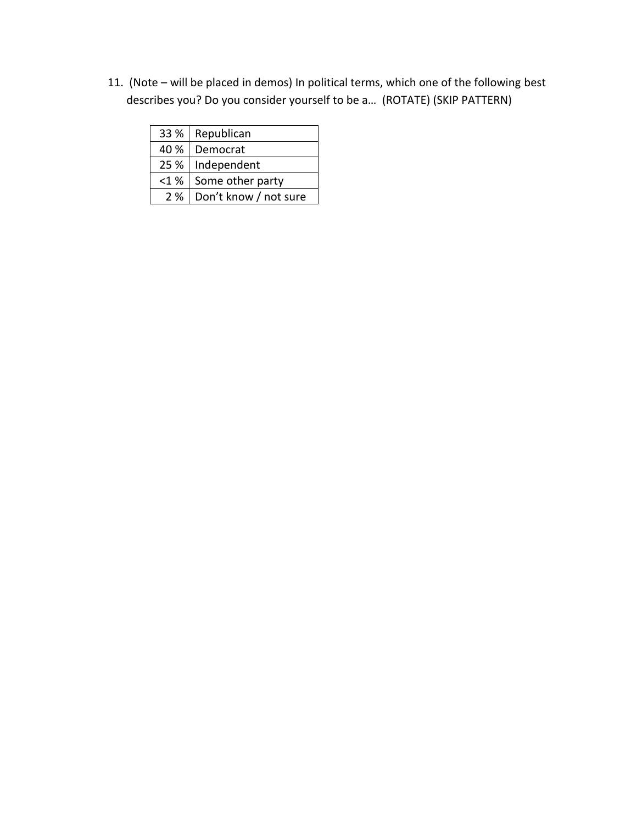11. (Note – will be placed in demos) In political terms, which one of the following best describes you? Do you consider yourself to be a… (ROTATE) (SKIP PATTERN)

|         | 33 %   Republican           |
|---------|-----------------------------|
| 40 %    | Democrat                    |
|         | 25 %   Independent          |
| $<$ 1 % | Some other party            |
|         | 2 %   Don't know / not sure |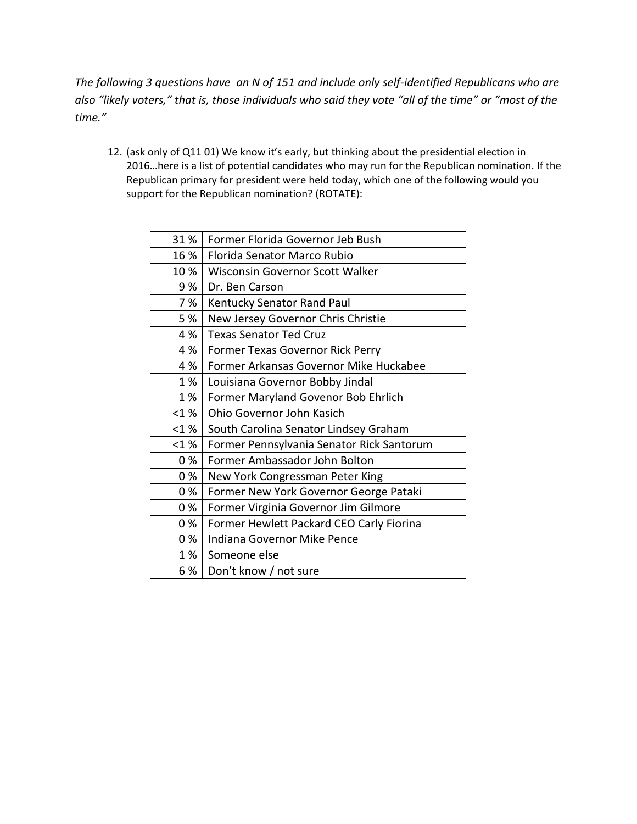*The following 3 questions have an N of 151 and include only self-identified Republicans who are also "likely voters," that is, those individuals who said they vote "all of the time" or "most of the time."* 

12. (ask only of Q11 01) We know it's early, but thinking about the presidential election in 2016…here is a list of potential candidates who may run for the Republican nomination. If the Republican primary for president were held today, which one of the following would you support for the Republican nomination? (ROTATE):

| 31%     | Former Florida Governor Jeb Bush          |
|---------|-------------------------------------------|
| 16 %    | Florida Senator Marco Rubio               |
| 10%     | Wisconsin Governor Scott Walker           |
| 9 %     | Dr. Ben Carson                            |
| 7 %     | Kentucky Senator Rand Paul                |
| 5 %     | New Jersey Governor Chris Christie        |
| 4 %     | <b>Texas Senator Ted Cruz</b>             |
| 4 %     | Former Texas Governor Rick Perry          |
| 4 %     | Former Arkansas Governor Mike Huckabee    |
| 1 %     | Louisiana Governor Bobby Jindal           |
| 1%      | Former Maryland Govenor Bob Ehrlich       |
| $<$ 1 % | Ohio Governor John Kasich                 |
| < 1%    | South Carolina Senator Lindsey Graham     |
| $<$ 1 % | Former Pennsylvania Senator Rick Santorum |
| 0%      | Former Ambassador John Bolton             |
| 0%      | New York Congressman Peter King           |
| 0 %     | Former New York Governor George Pataki    |
| 0%      | Former Virginia Governor Jim Gilmore      |
| 0%      | Former Hewlett Packard CEO Carly Fiorina  |
| 0%      | Indiana Governor Mike Pence               |
| 1 %     | Someone else                              |
| 6 %     | Don't know / not sure                     |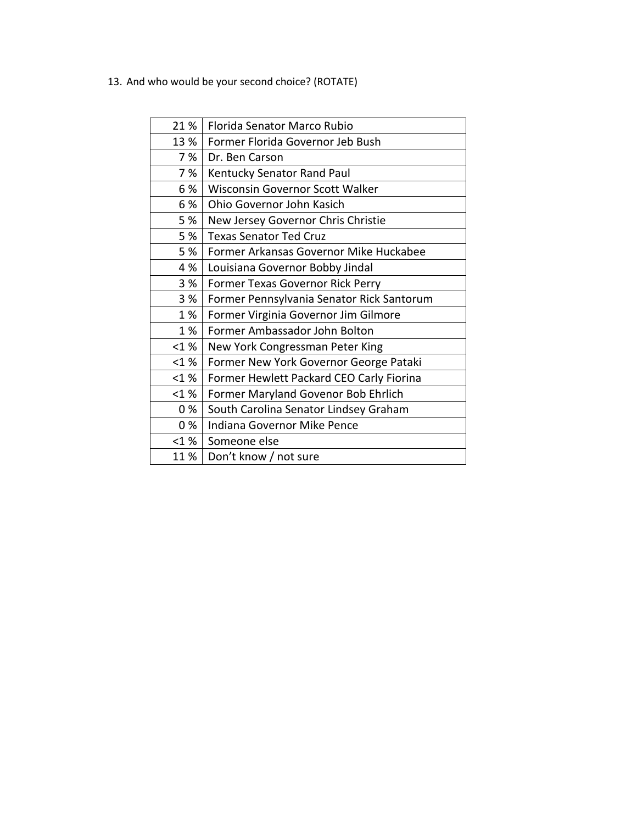13. And who would be your second choice? (ROTATE)

| 21%    | Florida Senator Marco Rubio               |
|--------|-------------------------------------------|
| 13 %   | Former Florida Governor Jeb Bush          |
| 7%     | Dr. Ben Carson                            |
| 7%     | Kentucky Senator Rand Paul                |
| 6 %    | Wisconsin Governor Scott Walker           |
| 6 %    | Ohio Governor John Kasich                 |
| 5 %    | New Jersey Governor Chris Christie        |
| 5%     | <b>Texas Senator Ted Cruz</b>             |
| 5 %    | Former Arkansas Governor Mike Huckabee    |
| 4 %    | Louisiana Governor Bobby Jindal           |
| 3%     | Former Texas Governor Rick Perry          |
| 3 %    | Former Pennsylvania Senator Rick Santorum |
| 1%     | Former Virginia Governor Jim Gilmore      |
| 1%     | Former Ambassador John Bolton             |
| $<1\%$ | New York Congressman Peter King           |
| < 1%   | Former New York Governor George Pataki    |
| < 1%   | Former Hewlett Packard CEO Carly Fiorina  |
| < 1%   | Former Maryland Govenor Bob Ehrlich       |
| 0%     | South Carolina Senator Lindsey Graham     |
| 0%     | Indiana Governor Mike Pence               |
| < 1%   | Someone else                              |
| 11 %   | Don't know / not sure                     |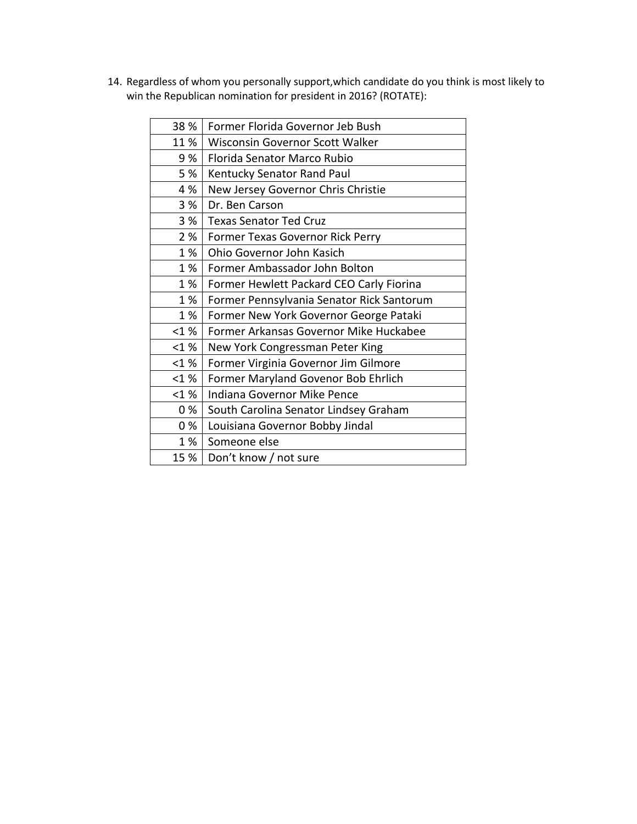14. Regardless of whom you personally support,which candidate do you think is most likely to win the Republican nomination for president in 2016? (ROTATE):

| 38 % | Former Florida Governor Jeb Bush          |
|------|-------------------------------------------|
| 11%  | <b>Wisconsin Governor Scott Walker</b>    |
| 9%   | Florida Senator Marco Rubio               |
| 5 %  | Kentucky Senator Rand Paul                |
| 4 %  | New Jersey Governor Chris Christie        |
| 3 %  | Dr. Ben Carson                            |
| 3%   | <b>Texas Senator Ted Cruz</b>             |
| 2 %  | Former Texas Governor Rick Perry          |
| 1%   | Ohio Governor John Kasich                 |
| 1 %  | Former Ambassador John Bolton             |
| 1%   | Former Hewlett Packard CEO Carly Fiorina  |
| 1%   | Former Pennsylvania Senator Rick Santorum |
| 1%   | Former New York Governor George Pataki    |
| < 1% | Former Arkansas Governor Mike Huckabee    |
| < 1% | New York Congressman Peter King           |
| < 1% | Former Virginia Governor Jim Gilmore      |
| < 1% | Former Maryland Govenor Bob Ehrlich       |
| < 1% | Indiana Governor Mike Pence               |
| 0%   | South Carolina Senator Lindsey Graham     |
| 0%   | Louisiana Governor Bobby Jindal           |
| 1%   | Someone else                              |
| 15 % | Don't know / not sure                     |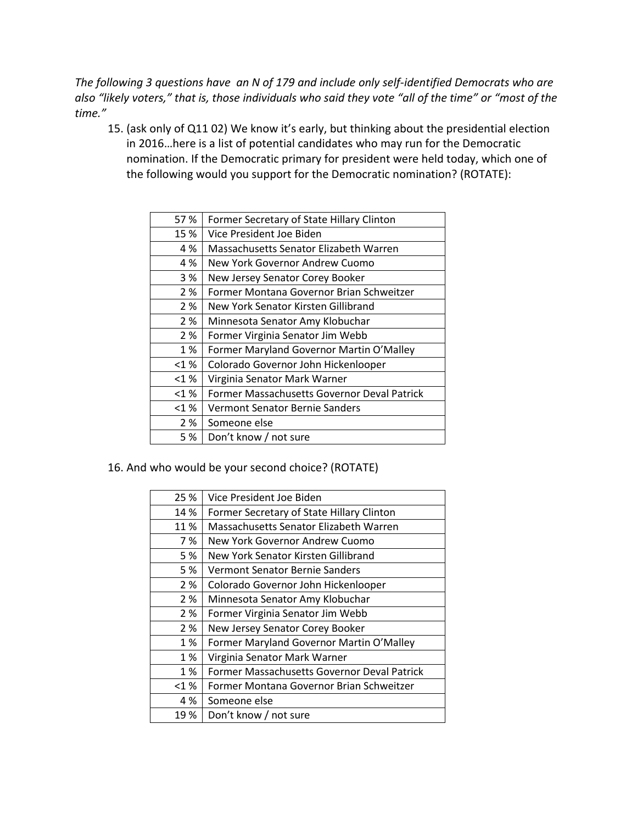*The following 3 questions have an N of 179 and include only self-identified Democrats who are also "likely voters," that is, those individuals who said they vote "all of the time" or "most of the time."* 

15. (ask only of Q11 02) We know it's early, but thinking about the presidential election in 2016…here is a list of potential candidates who may run for the Democratic nomination. If the Democratic primary for president were held today, which one of the following would you support for the Democratic nomination? (ROTATE):

| 57 %    | Former Secretary of State Hillary Clinton   |
|---------|---------------------------------------------|
| 15 %    | Vice President Joe Biden                    |
| 4 %     | Massachusetts Senator Elizabeth Warren      |
| 4 %     | New York Governor Andrew Cuomo              |
| 3 %     | New Jersey Senator Corey Booker             |
| 2 %     | Former Montana Governor Brian Schweitzer    |
| 2 %     | New York Senator Kirsten Gillibrand         |
| 2 %     | Minnesota Senator Amy Klobuchar             |
| 2 %     | Former Virginia Senator Jim Webb            |
| 1 %     | Former Maryland Governor Martin O'Malley    |
| $<$ 1 % | Colorado Governor John Hickenlooper         |
| $<$ 1 % | Virginia Senator Mark Warner                |
| $<$ 1 % | Former Massachusetts Governor Deval Patrick |
| $<$ 1 % | Vermont Senator Bernie Sanders              |
| 2 %     | Someone else                                |
| 5 %     | Don't know / not sure                       |
|         |                                             |

16. And who would be your second choice? (ROTATE)

| 25 %    | Vice President Joe Biden                    |  |
|---------|---------------------------------------------|--|
| 14 %    | Former Secretary of State Hillary Clinton   |  |
| 11%     | Massachusetts Senator Elizabeth Warren      |  |
| 7 %     | New York Governor Andrew Cuomo              |  |
| 5 %     | New York Senator Kirsten Gillibrand         |  |
| 5 %     | <b>Vermont Senator Bernie Sanders</b>       |  |
| 2 %     | Colorado Governor John Hickenlooper         |  |
| 2 %     | Minnesota Senator Amy Klobuchar             |  |
| 2 %     | Former Virginia Senator Jim Webb            |  |
| 2 %     | New Jersey Senator Corey Booker             |  |
| 1 %     | Former Maryland Governor Martin O'Malley    |  |
| 1 %     | Virginia Senator Mark Warner                |  |
| 1 %     | Former Massachusetts Governor Deval Patrick |  |
| $<$ 1 % | Former Montana Governor Brian Schweitzer    |  |
| 4 %     | Someone else                                |  |
| 19 %    | Don't know / not sure                       |  |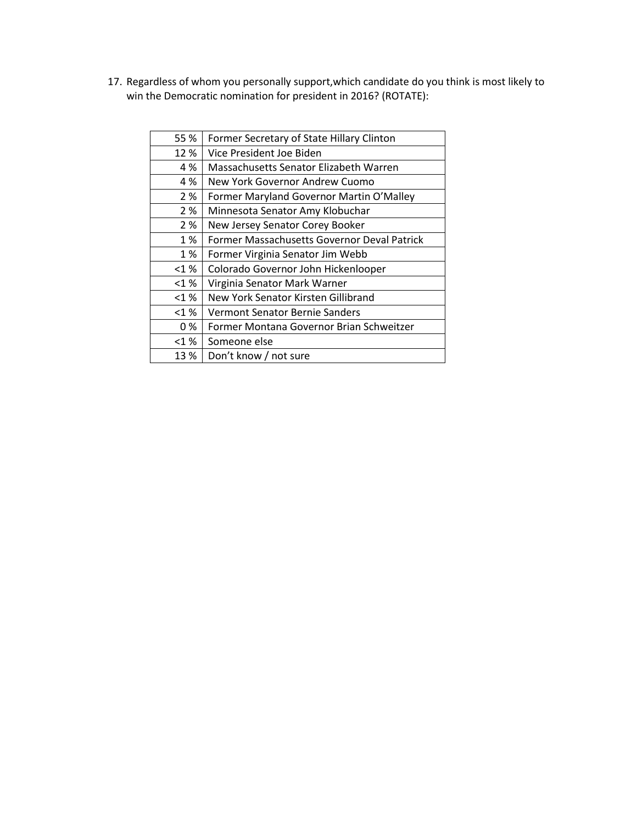17. Regardless of whom you personally support,which candidate do you think is most likely to win the Democratic nomination for president in 2016? (ROTATE):

| 55 %    | Former Secretary of State Hillary Clinton   |
|---------|---------------------------------------------|
| 12 %    | Vice President Joe Biden                    |
| 4 %     | Massachusetts Senator Elizabeth Warren      |
| 4 %     | New York Governor Andrew Cuomo              |
| 2 %     | Former Maryland Governor Martin O'Malley    |
| 2 %     | Minnesota Senator Amy Klobuchar             |
| 2 %     | New Jersey Senator Corey Booker             |
| 1 %     | Former Massachusetts Governor Deval Patrick |
| 1 %     | Former Virginia Senator Jim Webb            |
| < 1%    | Colorado Governor John Hickenlooper         |
| $<$ 1 % | Virginia Senator Mark Warner                |
| $<$ 1 % | New York Senator Kirsten Gillibrand         |
| < 1%    | Vermont Senator Bernie Sanders              |
| 0 %     | Former Montana Governor Brian Schweitzer    |
| $<$ 1 % | Someone else                                |
| 13 %    | Don't know / not sure                       |
|         |                                             |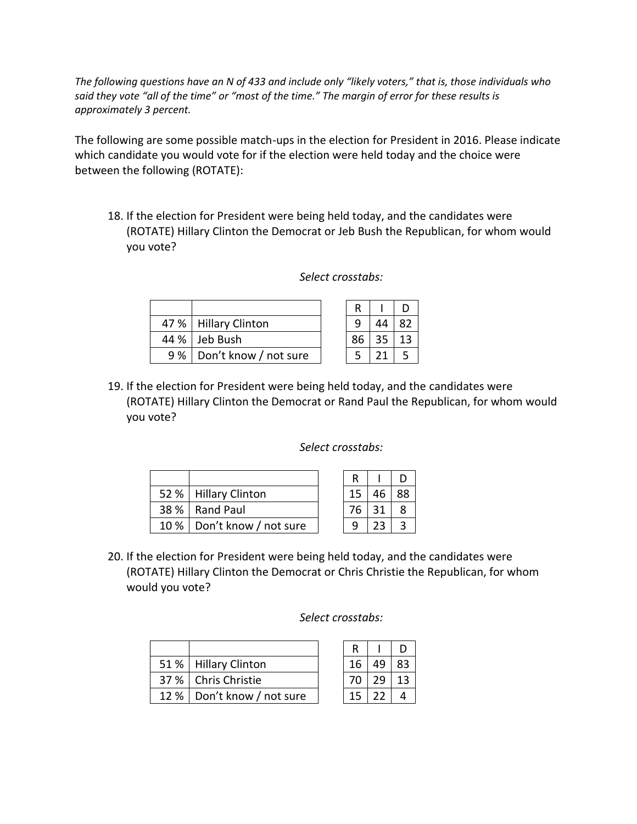*The following questions have an N of 433 and include only "likely voters," that is, those individuals who said they vote "all of the time" or "most of the time." The margin of error for these results is approximately 3 percent.*

The following are some possible match-ups in the election for President in 2016. Please indicate which candidate you would vote for if the election were held today and the choice were between the following (ROTATE):

18. If the election for President were being held today, and the candidates were (ROTATE) Hillary Clinton the Democrat or Jeb Bush the Republican, for whom would you vote?

|     | 47 %   Hillary Clinton |    |    |
|-----|------------------------|----|----|
|     | 44 %   Jeb Bush        | 86 | 13 |
| 9 % | Don't know / not sure  |    |    |

# *Select crosstabs:*

| 19. If the election for President were being held today, and the candidates were  |
|-----------------------------------------------------------------------------------|
| (ROTATE) Hillary Clinton the Democrat or Rand Paul the Republican, for whom would |
| vou vote?                                                                         |

## *Select crosstabs:*

| 52 %   Hillary Clinton       |  |    | 88 |
|------------------------------|--|----|----|
| 38 %   Rand Paul             |  | 31 |    |
| 10 %   Don't know / not sure |  |    |    |

20. If the election for President were being held today, and the candidates were (ROTATE) Hillary Clinton the Democrat or Chris Christie the Republican, for whom would you vote?

## *Select crosstabs:*

|  | 51 %   Hillary Clinton       | 16 | 49           | 83 |
|--|------------------------------|----|--------------|----|
|  | 37 %   Chris Christie        | 70 | 29           | 13 |
|  | 12 %   Don't know / not sure |    | $15 \mid 22$ |    |

| R  |    | υ  |
|----|----|----|
| 16 | 49 | 83 |
| 70 | 29 | 13 |
| 15 | ,, | 4  |